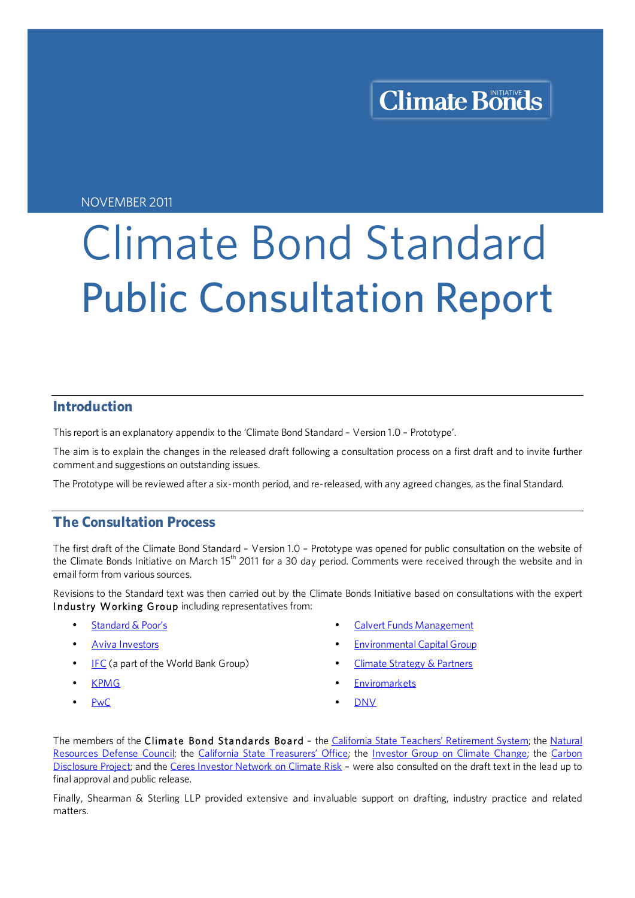NOVEMBER 2011

# Climate Bond Standard Public Consultation Report

## **Introduction**

This report is an explanatory appendix to the 'Climate Bond Standard – Version 1.0 – Prototype'.

The aim is to explain the changes in the released draft following a consultation process on a first draft and to invite further comment and suggestions on outstanding issues.

The Prototype will be reviewed after a six-month period, and re-released, with any agreed changes, as the final Standard.

## **The Consultation Process**

The first draft of the Climate Bond Standard – Version 1.0 – Prototype was opened for public consultation on the website of the Climate Bonds Initiative on March 15<sup>th</sup> 2011 for a 30 day period. Comments were received through the website and in email form from various sources.

Revisions to the Standard text was then carried out by the Climate Bonds Initiative based on consultations with the expert Industry Working Group including representatives from:

- Standard & Poor's
- **Aviva Investors**
- IFC (a part of the World Bank Group)
- KPMG
- PwC
- Calvert Funds Management
- **Environmental Capital Group**
- Climate Strategy & Partners
- **Enviromarkets**
- DNV

The members of the Climate Bond Standards Board - the California State Teachers' Retirement System; the Natural Resources Defense Council; the California State Treasurers' Office; the Investor Group on Climate Change; the Carbon Disclosure Project; and the Ceres Investor Network on Climate Risk - were also consulted on the draft text in the lead up to final approval and public release.

Finally, Shearman & Sterling LLP provided extensive and invaluable support on drafting, industry practice and related matters.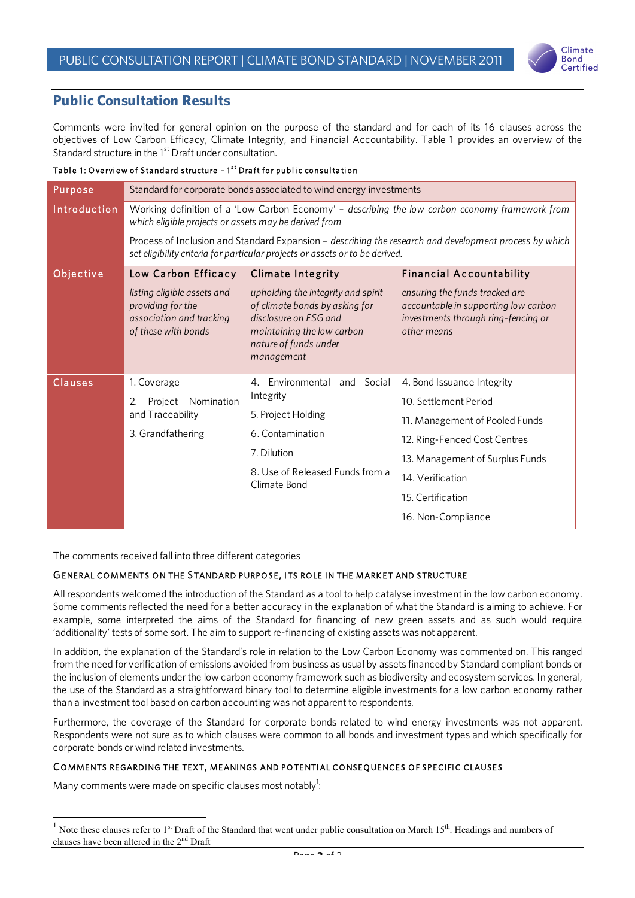

## **Public Consultation Results**

Comments were invited for general opinion on the purpose of the standard and for each of its 16 clauses across the objectives of Low Carbon Efficacy, Climate Integrity, and Financial Accountability. Table 1 provides an overview of the Standard structure in the 1<sup>st</sup> Draft under consultation.

#### Table 1: O verview of Standard structure - 1<sup>st</sup> Draft for public consultation

| Purpose      | Standard for corporate bonds associated to wind energy investments                                                                                                                                                                                                                                                                                 |                                                                                                                                                                    |                                                                                                                              |  |  |
|--------------|----------------------------------------------------------------------------------------------------------------------------------------------------------------------------------------------------------------------------------------------------------------------------------------------------------------------------------------------------|--------------------------------------------------------------------------------------------------------------------------------------------------------------------|------------------------------------------------------------------------------------------------------------------------------|--|--|
| Introduction | Working definition of a 'Low Carbon Economy' - describing the low carbon economy framework from<br>which eligible projects or assets may be derived from<br>Process of Inclusion and Standard Expansion - describing the research and development process by which<br>set eligibility criteria for particular projects or assets or to be derived. |                                                                                                                                                                    |                                                                                                                              |  |  |
|              |                                                                                                                                                                                                                                                                                                                                                    |                                                                                                                                                                    |                                                                                                                              |  |  |
| Objective    | Low Carbon Efficacy                                                                                                                                                                                                                                                                                                                                | <b>Climate Integrity</b>                                                                                                                                           | <b>Financial Accountability</b>                                                                                              |  |  |
|              | listing eligible assets and<br>providing for the<br>association and tracking<br>of these with bonds                                                                                                                                                                                                                                                | upholding the integrity and spirit<br>of climate bonds by asking for<br>disclosure on ESG and<br>maintaining the low carbon<br>nature of funds under<br>management | ensuring the funds tracked are<br>accountable in supporting low carbon<br>investments through ring-fencing or<br>other means |  |  |
| Clauses      | 1. Coverage                                                                                                                                                                                                                                                                                                                                        | 4. Environmental and Social<br>Integrity<br>5. Project Holding<br>6. Contamination<br>7. Dilution<br>8. Use of Released Funds from a<br>Climate Bond               | 4. Bond Issuance Integrity                                                                                                   |  |  |
|              | Nomination<br>2.<br>Project<br>and Traceability<br>3. Grandfathering                                                                                                                                                                                                                                                                               |                                                                                                                                                                    | 10. Settlement Period                                                                                                        |  |  |
|              |                                                                                                                                                                                                                                                                                                                                                    |                                                                                                                                                                    | 11. Management of Pooled Funds                                                                                               |  |  |
|              |                                                                                                                                                                                                                                                                                                                                                    |                                                                                                                                                                    | 12. Ring-Fenced Cost Centres                                                                                                 |  |  |
|              |                                                                                                                                                                                                                                                                                                                                                    |                                                                                                                                                                    | 13. Management of Surplus Funds                                                                                              |  |  |
|              |                                                                                                                                                                                                                                                                                                                                                    |                                                                                                                                                                    | 14. Verification                                                                                                             |  |  |
|              |                                                                                                                                                                                                                                                                                                                                                    |                                                                                                                                                                    | 15. Certification                                                                                                            |  |  |
|              |                                                                                                                                                                                                                                                                                                                                                    |                                                                                                                                                                    | 16. Non-Compliance                                                                                                           |  |  |

The comments received fall into three different categories

#### GENERAL COMMENTS ON THE STANDARD PURPOSE , ITS ROLE IN THE MARK ET AND STRUCTURE

All respondents welcomed the introduction of the Standard as a tool to help catalyse investment in the low carbon economy. Some comments reflected the need for a better accuracy in the explanation of what the Standard is aiming to achieve. For example, some interpreted the aims of the Standard for financing of new green assets and as such would require 'additionality' tests of some sort. The aim to support re-financing of existing assets was not apparent.

In addition, the explanation of the Standard's role in relation to the Low Carbon Economy was commented on. This ranged from the need for verification of emissions avoided from business as usual by assets financed by Standard compliant bonds or the inclusion of elements under the low carbon economy framework such as biodiversity and ecosystem services. In general, the use of the Standard as a straightforward binary tool to determine eligible investments for a low carbon economy rather than a investment tool based on carbon accounting was not apparent to respondents.

Furthermore, the coverage of the Standard for corporate bonds related to wind energy investments was not apparent. Respondents were not sure as to which clauses were common to all bonds and investment types and which specifically for corporate bonds or wind related investments.

#### COMMENTS REGARDING THE TEXT, MEANINGS AND POTENTIAL CONSEQUENCES OF SPECIFIC CLAUSES

Many comments were made on specific clauses most notably $^{1}$ :

 <sup>1</sup> Note these clauses refer to 1<sup>st</sup> Draft of the Standard that went under public consultation on March 15<sup>th</sup>. Headings and numbers of clauses have been altered in the  $2<sup>nd</sup>$  Draft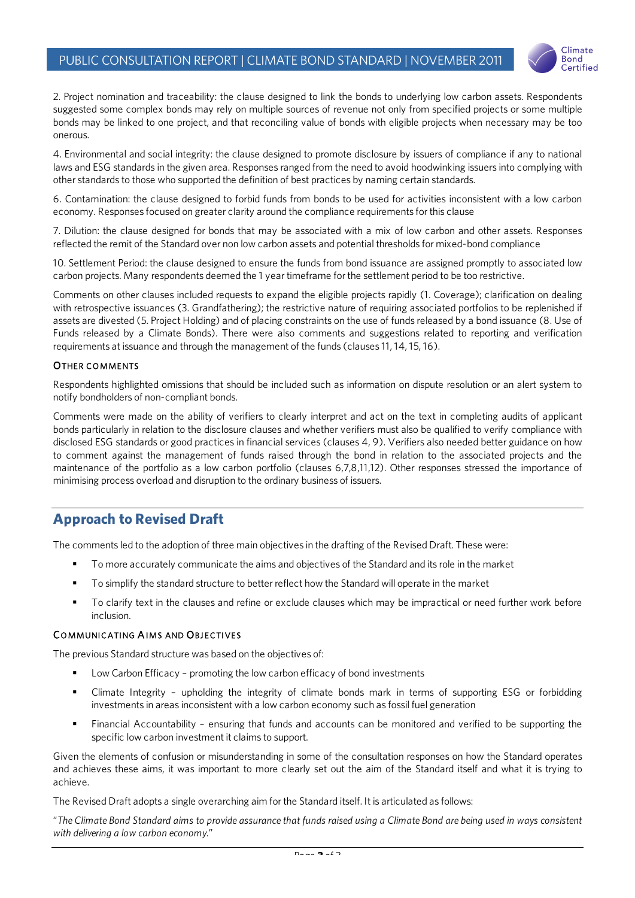

2. Project nomination and traceability: the clause designed to link the bonds to underlying low carbon assets. Respondents suggested some complex bonds may rely on multiple sources of revenue not only from specified projects or some multiple bonds may be linked to one project, and that reconciling value of bonds with eligible projects when necessary may be too onerous.

4. Environmental and social integrity: the clause designed to promote disclosure by issuers of compliance if any to national laws and ESG standards in the given area. Responses ranged from the need to avoid hoodwinking issuers into complying with other standards to those who supported the definition of best practices by naming certain standards.

6. Contamination: the clause designed to forbid funds from bonds to be used for activities inconsistent with a low carbon economy. Responses focused on greater clarity around the compliance requirements for this clause

7. Dilution: the clause designed for bonds that may be associated with a mix of low carbon and other assets. Responses reflected the remit of the Standard over non low carbon assets and potential thresholds for mixed-bond compliance

10. Settlement Period: the clause designed to ensure the funds from bond issuance are assigned promptly to associated low carbon projects. Many respondents deemed the 1 year timeframe for the settlement period to be too restrictive.

Comments on other clauses included requests to expand the eligible projects rapidly (1. Coverage); clarification on dealing with retrospective issuances (3. Grandfathering); the restrictive nature of requiring associated portfolios to be replenished if assets are divested (5. Project Holding) and of placing constraints on the use of funds released by a bond issuance (8. Use of Funds released by a Climate Bonds). There were also comments and suggestions related to reporting and verification requirements at issuance and through the management of the funds (clauses 11, 14, 15, 16).

#### OTHER COMMENTS

Respondents highlighted omissions that should be included such as information on dispute resolution or an alert system to notify bondholders of non-compliant bonds.

Comments were made on the ability of verifiers to clearly interpret and act on the text in completing audits of applicant bonds particularly in relation to the disclosure clauses and whether verifiers must also be qualified to verify compliance with disclosed ESG standards or good practices in financial services (clauses 4, 9). Verifiers also needed better guidance on how to comment against the management of funds raised through the bond in relation to the associated projects and the maintenance of the portfolio as a low carbon portfolio (clauses 6,7,8,11,12). Other responses stressed the importance of minimising process overload and disruption to the ordinary business of issuers.

# **Approach to Revised Draft**

The comments led to the adoption of three main objectives in the drafting of the Revised Draft. These were:

- **To more accurately communicate the aims and objectives of the Standard and its role in the market**
- To simplify the standard structure to better reflect how the Standard will operate in the market
- To clarify text in the clauses and refine or exclude clauses which may be impractical or need further work before inclusion.

#### COMMUNICATING AIMS AND OBJECTIVES

The previous Standard structure was based on the objectives of:

- Low Carbon Efficacy promoting the low carbon efficacy of bond investments
- Climate Integrity upholding the integrity of climate bonds mark in terms of supporting ESG or forbidding investments in areas inconsistent with a low carbon economy such as fossil fuel generation
- Financial Accountability ensuring that funds and accounts can be monitored and verified to be supporting the specific low carbon investment it claims to support.

Given the elements of confusion or misunderstanding in some of the consultation responses on how the Standard operates and achieves these aims, it was important to more clearly set out the aim of the Standard itself and what it is trying to achieve.

The Revised Draft adopts a single overarching aim for the Standard itself. It is articulated as follows:

"*The Climate Bond Standard aims to provide assurance that funds raised using a Climate Bond are being used in ways consistent with delivering a low carbon economy.*"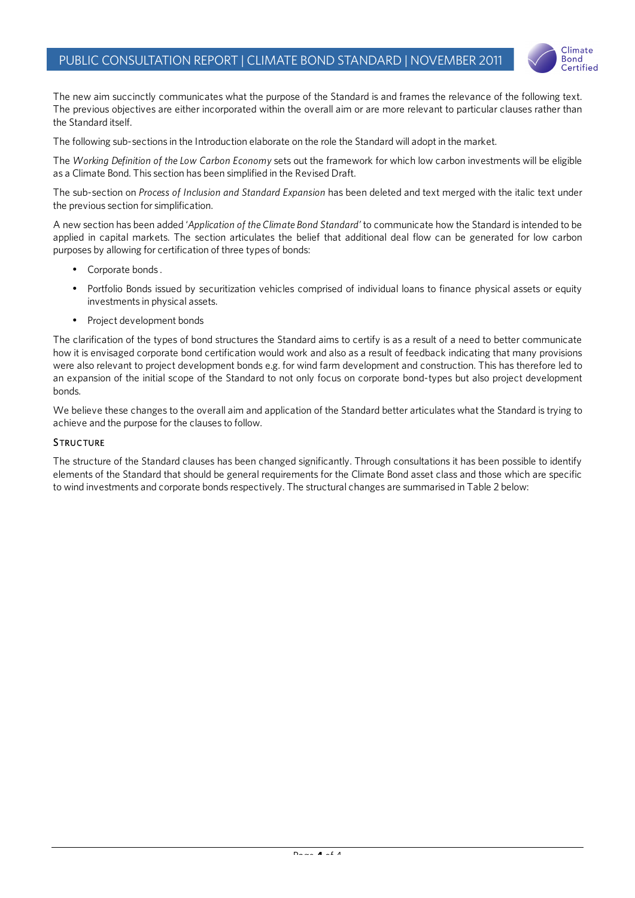

The new aim succinctly communicates what the purpose of the Standard is and frames the relevance of the following text. The previous objectives are either incorporated within the overall aim or are more relevant to particular clauses rather than the Standard itself.

The following sub-sections in the Introduction elaborate on the role the Standard will adopt in the market.

The *Working Definition of the Low Carbon Economy* sets out the framework for which low carbon investments will be eligible as a Climate Bond. This section has been simplified in the Revised Draft.

The sub-section on *Process of Inclusion and Standard Expansion* has been deleted and text merged with the italic text under the previous section for simplification.

A new section has been added '*Application of the Climate Bond Standard'* to communicate how the Standard is intended to be applied in capital markets. The section articulates the belief that additional deal flow can be generated for low carbon purposes by allowing for certification of three types of bonds:

- Corporate bonds .
- Portfolio Bonds issued by securitization vehicles comprised of individual loans to finance physical assets or equity investments in physical assets.
- Project development bonds

The clarification of the types of bond structures the Standard aims to certify is as a result of a need to better communicate how it is envisaged corporate bond certification would work and also as a result of feedback indicating that many provisions were also relevant to project development bonds e.g. for wind farm development and construction. This has therefore led to an expansion of the initial scope of the Standard to not only focus on corporate bond-types but also project development bonds.

We believe these changes to the overall aim and application of the Standard better articulates what the Standard is trying to achieve and the purpose for the clauses to follow.

#### **STRUCTURE**

The structure of the Standard clauses has been changed significantly. Through consultations it has been possible to identify elements of the Standard that should be general requirements for the Climate Bond asset class and those which are specific to wind investments and corporate bonds respectively. The structural changes are summarised in Table 2 below: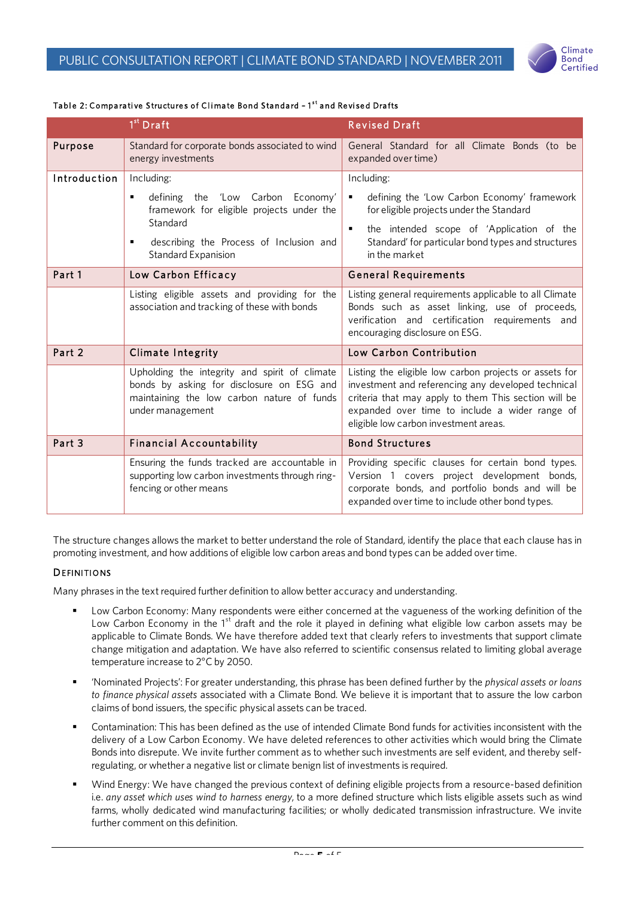

#### Table 2: Comparative Structures of Climate Bond Standard – 1<sup>st</sup> and Revised Drafts

|                | 1 <sup>st</sup> Draft                                                                                                                                        | <b>Revised Draft</b>                                                                                                                                                                                                                                            |
|----------------|--------------------------------------------------------------------------------------------------------------------------------------------------------------|-----------------------------------------------------------------------------------------------------------------------------------------------------------------------------------------------------------------------------------------------------------------|
| <b>Purpose</b> | Standard for corporate bonds associated to wind<br>energy investments                                                                                        | General Standard for all Climate Bonds (to be<br>expanded over time)                                                                                                                                                                                            |
| Introduction   | Including:                                                                                                                                                   | Including:                                                                                                                                                                                                                                                      |
|                | defining the 'Low Carbon Economy'<br>٠<br>framework for eligible projects under the                                                                          | defining the 'Low Carbon Economy' framework<br>٠<br>for eligible projects under the Standard                                                                                                                                                                    |
|                | Standard<br>describing the Process of Inclusion and<br>٠<br>Standard Expanision                                                                              | the intended scope of 'Application of the<br>$\blacksquare$<br>Standard' for particular bond types and structures<br>in the market                                                                                                                              |
| Part 1         | Low Carbon Efficacy                                                                                                                                          | <b>General Requirements</b>                                                                                                                                                                                                                                     |
|                | Listing eligible assets and providing for the<br>association and tracking of these with bonds                                                                | Listing general requirements applicable to all Climate<br>Bonds such as asset linking, use of proceeds,<br>verification and certification requirements and<br>encouraging disclosure on ESG.                                                                    |
| Part 2         | <b>Climate Integrity</b>                                                                                                                                     | Low Carbon Contribution                                                                                                                                                                                                                                         |
|                | Upholding the integrity and spirit of climate<br>bonds by asking for disclosure on ESG and<br>maintaining the low carbon nature of funds<br>under management | Listing the eligible low carbon projects or assets for<br>investment and referencing any developed technical<br>criteria that may apply to them This section will be<br>expanded over time to include a wider range of<br>eligible low carbon investment areas. |
| Part 3         | <b>Financial Accountability</b>                                                                                                                              | <b>Bond Structures</b>                                                                                                                                                                                                                                          |
|                | Ensuring the funds tracked are accountable in<br>supporting low carbon investments through ring-<br>fencing or other means                                   | Providing specific clauses for certain bond types.<br>Version 1 covers project development bonds,<br>corporate bonds, and portfolio bonds and will be<br>expanded over time to include other bond types.                                                        |

The structure changes allows the market to better understand the role of Standard, identify the place that each clause has in promoting investment, and how additions of eligible low carbon areas and bond types can be added over time.

#### **DEFINITIONS**

Many phrases in the text required further definition to allow better accuracy and understanding.

- Low Carbon Economy: Many respondents were either concerned at the vagueness of the working definition of the Low Carbon Economy in the 1<sup>st</sup> draft and the role it played in defining what eligible low carbon assets may be applicable to Climate Bonds. We have therefore added text that clearly refers to investments that support climate change mitigation and adaptation. We have also referred to scientific consensus related to limiting global average temperature increase to 2°C by 2050.
- 'Nominated Projects': For greater understanding, this phrase has been defined further by the *physical assets or loans to finance physical assets* associated with a Climate Bond. We believe it is important that to assure the low carbon claims of bond issuers, the specific physical assets can be traced.
- Contamination: This has been defined as the use of intended Climate Bond funds for activities inconsistent with the delivery of a Low Carbon Economy. We have deleted references to other activities which would bring the Climate Bonds into disrepute. We invite further comment as to whether such investments are self evident, and thereby selfregulating, or whether a negative list or climate benign list of investments is required.
- Wind Energy: We have changed the previous context of defining eligible projects from a resource-based definition i.e. *any asset which uses wind to harness energy*, to a more defined structure which lists eligible assets such as wind farms, wholly dedicated wind manufacturing facilities; or wholly dedicated transmission infrastructure. We invite further comment on this definition.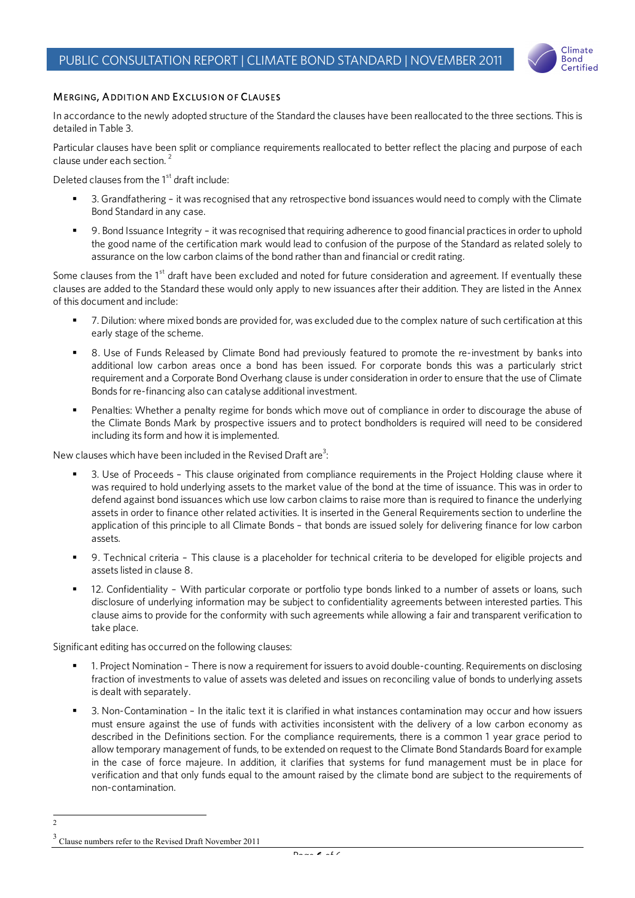

#### MERGING, A DDITION AND EXCLUSION OF CLAUSES

In accordance to the newly adopted structure of the Standard the clauses have been reallocated to the three sections. This is detailed in Table 3.

Particular clauses have been split or compliance requirements reallocated to better reflect the placing and purpose of each clause under each section. <sup>2</sup>

Deleted clauses from the  $1<sup>st</sup>$  draft include:

- 3. Grandfathering it was recognised that any retrospective bond issuances would need to comply with the Climate Bond Standard in any case.
- 9. Bond Issuance Integrity it was recognised that requiring adherence to good financial practices in order to uphold the good name of the certification mark would lead to confusion of the purpose of the Standard as related solely to assurance on the low carbon claims of the bond rather than and financial or credit rating.

Some clauses from the 1<sup>st</sup> draft have been excluded and noted for future consideration and agreement. If eventually these clauses are added to the Standard these would only apply to new issuances after their addition. They are listed in the Annex of this document and include:

- 7. Dilution: where mixed bonds are provided for, was excluded due to the complex nature of such certification at this early stage of the scheme.
- 8. Use of Funds Released by Climate Bond had previously featured to promote the re-investment by banks into additional low carbon areas once a bond has been issued. For corporate bonds this was a particularly strict requirement and a Corporate Bond Overhang clause is under consideration in order to ensure that the use of Climate Bonds for re-financing also can catalyse additional investment.
- Penalties: Whether a penalty regime for bonds which move out of compliance in order to discourage the abuse of the Climate Bonds Mark by prospective issuers and to protect bondholders is required will need to be considered including its form and how it is implemented.

New clauses which have been included in the Revised Draft are<sup>3</sup>:

- 3. Use of Proceeds This clause originated from compliance requirements in the Project Holding clause where it was required to hold underlying assets to the market value of the bond at the time of issuance. This was in order to defend against bond issuances which use low carbon claims to raise more than is required to finance the underlying assets in order to finance other related activities. It is inserted in the General Requirements section to underline the application of this principle to all Climate Bonds – that bonds are issued solely for delivering finance for low carbon assets.
- 9. Technical criteria This clause is a placeholder for technical criteria to be developed for eligible projects and assets listed in clause 8.
- 12. Confidentiality With particular corporate or portfolio type bonds linked to a number of assets or loans, such disclosure of underlying information may be subject to confidentiality agreements between interested parties. This clause aims to provide for the conformity with such agreements while allowing a fair and transparent verification to take place.

Significant editing has occurred on the following clauses:

- 1. Project Nomination There is now a requirement for issuers to avoid double-counting. Requirements on disclosing fraction of investments to value of assets was deleted and issues on reconciling value of bonds to underlying assets is dealt with separately.
- 3. Non-Contamination In the italic text it is clarified in what instances contamination may occur and how issuers must ensure against the use of funds with activities inconsistent with the delivery of a low carbon economy as described in the Definitions section. For the compliance requirements, there is a common 1 year grace period to allow temporary management of funds, to be extended on request to the Climate Bond Standards Board for example in the case of force majeure. In addition, it clarifies that systems for fund management must be in place for verification and that only funds equal to the amount raised by the climate bond are subject to the requirements of non-contamination.

 $\overline{2}$ 

<sup>3</sup> Clause numbers refer to the Revised Draft November 2011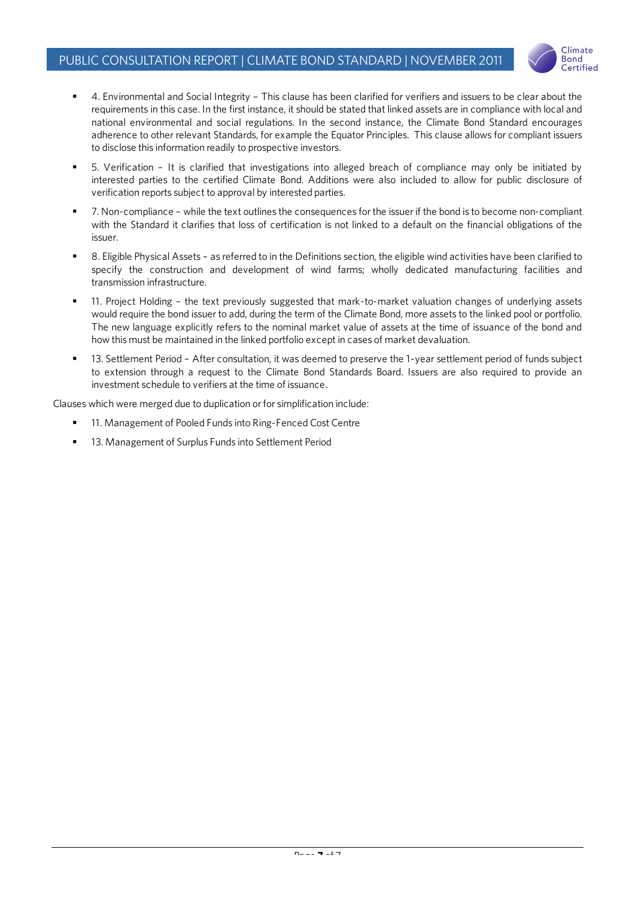

- 4. Environmental and Social Integrity This clause has been clarified for verifiers and issuers to be clear about the requirements in this case. In the first instance, it should be stated that linked assets are in compliance with local and national environmental and social regulations. In the second instance, the Climate Bond Standard encourages adherence to other relevant Standards, for example the Equator Principles. This clause allows for compliant issuers to disclose this information readily to prospective investors.
- 5. Verification It is clarified that investigations into alleged breach of compliance may only be initiated by interested parties to the certified Climate Bond. Additions were also included to allow for public disclosure of verification reports subject to approval by interested parties.
- 7. Non-compliance while the text outlines the consequences for the issuer if the bond is to become non-compliant with the Standard it clarifies that loss of certification is not linked to a default on the financial obligations of the issuer.
- 8. Eligible Physical Assets as referred to in the Definitions section, the eligible wind activities have been clarified to specify the construction and development of wind farms; wholly dedicated manufacturing facilities and transmission infrastructure.
- 11. Project Holding the text previously suggested that mark-to-market valuation changes of underlying assets would require the bond issuer to add, during the term of the Climate Bond, more assets to the linked pool or portfolio. The new language explicitly refers to the nominal market value of assets at the time of issuance of the bond and how this must be maintained in the linked portfolio except in cases of market devaluation.
- 13. Settlement Period After consultation, it was deemed to preserve the 1-year settlement period of funds subject to extension through a request to the Climate Bond Standards Board. Issuers are also required to provide an investment schedule to verifiers at the time of issuance.

Clauses which were merged due to duplication or for simplification include:

- 11. Management of Pooled Funds into Ring-Fenced Cost Centre
- 13. Management of Surplus Funds into Settlement Period